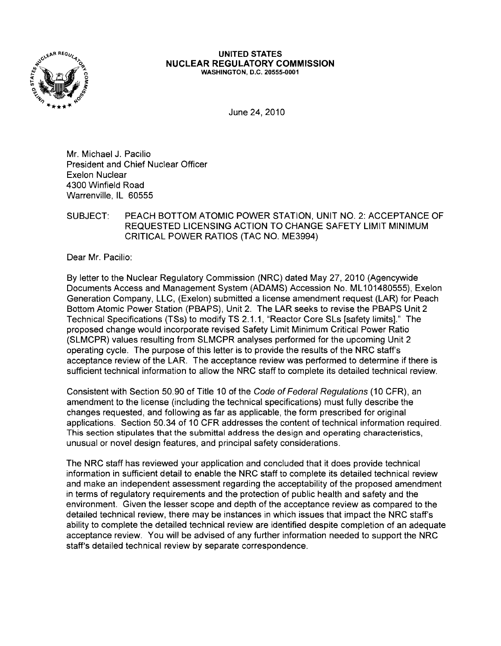

## UNITED STATES NUCLEAR REGULATORY COMMISSION WASHINGTON, D.C. 20555-0001

June 24, 2010

Mr. Michael J. Pacilio President and Chief Nuclear Officer Exelon Nuclear 4300 Winfield Road Warrenville, IL 60555

## SUBJECT: PEACH BOTTOM ATOMIC POWER STATION, UNIT NO. 2: ACCEPTANCE OF REQUESTED LICENSING ACTION TO CHANGE SAFETY LIMIT MINIMUM CRITICAL POWER RATIOS (TAC NO. ME3994)

Dear Mr. Pacilio:

By letter to the Nuclear Regulatory Commission (NRC) dated May 27,2010 (Agencywide Documents Access and Management System (ADAMS) Accession No. ML101480555), Exelon Generation Company, LLC, (Exelon) submitted a license amendment request (LAR) for Peach Bottom Atomic Power Station (PBAPS), Unit 2. The LAR seeks to revise the PBAPS Unit 2 Technical Specifications (TSs) to modify TS 2.1.1, "Reactor Core SLs [safety limits]." The proposed change would incorporate revised Safety Limit Minimum Critical Power Ratio (SLMCPR) values resulting from SLMCPR analyses performed for the upcoming Unit 2 operating cycle. The purpose of this letter is to provide the results of the NRC staff's acceptance review of the LAR. The acceptance review was performed to determine if there is sufficient technical information to allow the NRC staff to complete its detailed technical review.

Consistent with Section 50.90 of Title 10 of the Code of Federal Regulations (10 CFR), an amendment to the license (including the technical specifications) must fully describe the changes requested, and following as far as applicable, the form prescribed for original applications. Section 50.34 of 10 CFR addresses the content of technical information required. This section stipulates that the submittal address the design and operating characteristics, unusual or novel design features, and principal safety considerations.

The NRC staff has reviewed your application and concluded that it does provide technical information in sufficient detail to enable the NRC staff to complete its detailed technical review and make an independent assessment regarding the acceptability of the proposed amendment in terms of regulatory requirements and the protection of public health and safety and the environment. Given the lesser scope and depth of the acceptance review as compared to the detailed technical review, there may be instances in which issues that impact the NRC staff's ability to complete the detailed technical review are identified despite completion of an adequate acceptance review. You will be advised of any further information needed to support the NRC staff's detailed technical review by separate correspondence.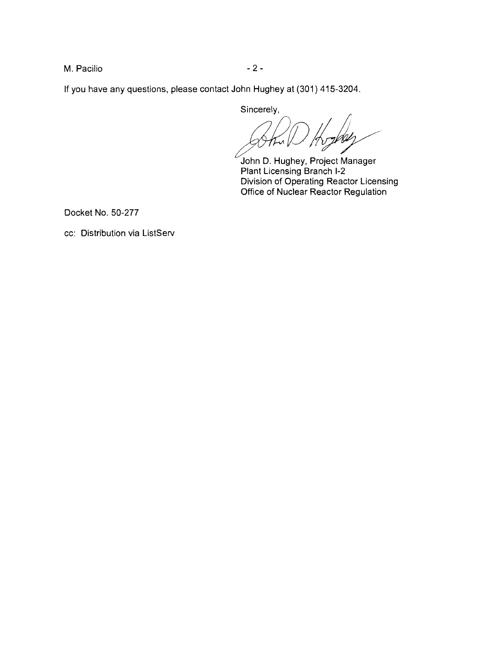M. Pacilio  $-2-$ 

If you have any questions, please contact John Hughey at (301) 415-3204.

Sincerely,

*fiRVA .* 

John D. Hughey, Project Manager Plant Licensing Branch 1-2 Division of Operating Reactor Licensing Office of Nuclear Reactor Regulation

Docket No. 50-277

cc: Distribution via ListServ